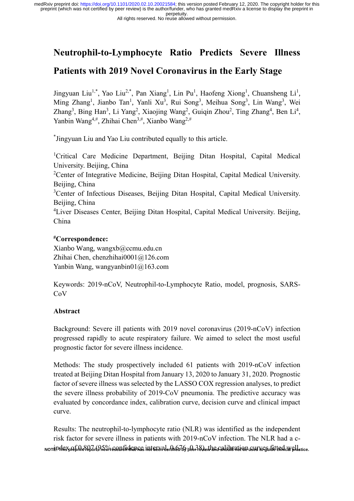#### All rights reserved. No reuse allowed without permission.

# **Neutrophil-to-Lymphocyte Ratio Predicts Severe Illness**

## **Patients with 2019 Novel Coronavirus in the Early Stage**

Jingyuan Liu<sup>1,\*</sup>, Yao Liu<sup>2,\*</sup>, Pan Xiang<sup>1</sup>, Lin Pu<sup>1</sup>, Haofeng Xiong<sup>1</sup>, Chuansheng Li<sup>1</sup>, Ming Zhang<sup>1</sup>, Jianbo Tan<sup>1</sup>, Yanli Xu<sup>3</sup>, Rui Song<sup>3</sup>, Meihua Song<sup>3</sup>, Lin Wang<sup>3</sup>, Wei Zhang<sup>3</sup>, Bing Han<sup>3</sup>, Li Yang<sup>2</sup>, Xiaojing Wang<sup>2</sup>, Guiqin Zhou<sup>2</sup>, Ting Zhang<sup>4</sup>, Ben Li<sup>4</sup>, Yanbin Wang<sup>4,#</sup>, Zhihai Chen<sup>3,#</sup>, Xianbo Wang<sup>2,#</sup>

\* Jingyuan Liu and Yao Liu contributed equally to this article.

<sup>1</sup>Critical Care Medicine Department, Beijing Ditan Hospital, Capital Medical University. Beijing, China

<sup>2</sup>Center of Integrative Medicine, Beijing Ditan Hospital, Capital Medical University. Beijing, China

<sup>3</sup>Center of Infectious Diseases, Beijing Ditan Hospital, Capital Medical University. Beijing, China

<sup>4</sup>Liver Diseases Center, Beijing Ditan Hospital, Capital Medical University. Beijing, China

## **#Correspondence:**

Xianbo Wang, [wangxb@ccmu.edu.cn](mailto:wangxb@ccmu.edu.cn) Zhihai Chen, chenzhihai0001@126.com Yanbin Wang, wangyanbin01@163.com

Keywords: 2019-nCoV, Neutrophil-to-Lymphocyte Ratio, model, prognosis, SARS-CoV

## **Abstract**

Background: Severe ill patients with 2019 novel coronavirus (2019-nCoV) infection progressed rapidly to acute respiratory failure. We aimed to select the most useful prognostic factor for severe illness incidence.

Methods: The study prospectively included 61 patients with 2019-nCoV infection treated at Beijing Ditan Hospital from January 13, 2020 to January 31, 2020. Prognostic factor of severe illness was selected by the LASSO COX regression analyses, to predict the severe illness probability of 2019-CoV pneumonia. The predictive accuracy was evaluated by concordance index, calibration curve, decision curve and clinical impact curve.

Results: The neutrophil-to-lymphocyte ratio (NLR) was identified as the independent risk factor for severe illness in patients with 2019-nCoV infection. The NLR had a c-NOTE:1FFFFSpRebrin:8Q67(95%)&senfidences intervaler(tieb7b)peer7eVerthracshbinrati@pusUrVcgufutErincxyplactice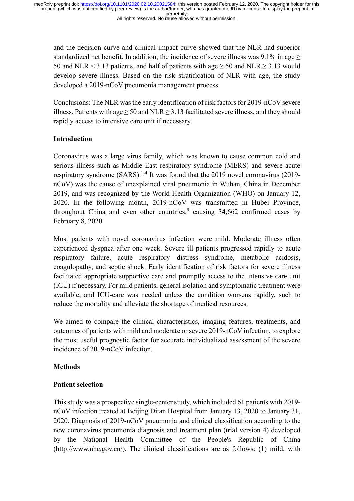and the decision curve and clinical impact curve showed that the NLR had superior standardized net benefit. In addition, the incidence of severe illness was 9.1% in age > 50 and NLR < 3.13 patients, and half of patients with age  $\geq$  50 and NLR  $\geq$  3.13 would develop severe illness. Based on the risk stratification of NLR with age, the study developed a 2019-nCoV pneumonia management process.

Conclusions: The NLR was the early identification of risk factors for 2019-nCoV severe illness. Patients with age  $\geq$  50 and NLR  $\geq$  3.13 facilitated severe illness, and they should rapidly access to intensive care unit if necessary.

### **Introduction**

Coronavirus was a large virus family, which was known to cause common cold and serious illness such as Middle East respiratory syndrome (MERS) and severe acute respiratory syndrome (SARS).<sup>1-4</sup> It was found that the 2019 novel coronavirus (2019nCoV) was the cause of unexplained viral pneumonia in Wuhan, China in December 2019, and was recognized by the World Health Organization (WHO) on January 12, 2020. In the following month, 2019-nCoV was transmitted in Hubei Province, throughout China and even other countries,<sup>5</sup> causing  $34,662$  confirmed cases by February 8, 2020.

Most patients with novel coronavirus infection were mild. Moderate illness often experienced dyspnea after one week. Severe ill patients progressed rapidly to acute respiratory failure, acute respiratory distress syndrome, metabolic acidosis, coagulopathy, and septic shock. Early identification of risk factors for severe illness facilitated appropriate supportive care and promptly access to the intensive care unit (ICU) if necessary. For mild patients, general isolation and symptomatic treatment were available, and ICU-care was needed unless the condition worsens rapidly, such to reduce the mortality and alleviate the shortage of medical resources.

We aimed to compare the clinical characteristics, imaging features, treatments, and outcomes of patients with mild and moderate or severe 2019-nCoV infection, to explore the most useful prognostic factor for accurate individualized assessment of the severe incidence of 2019-nCoV infection.

### **Methods**

### **Patient selection**

This study was a prospective single-center study, which included 61 patients with 2019 nCoV infection treated at Beijing Ditan Hospital from January 13, 2020 to January 31, 2020. Diagnosis of 2019-nCoV pneumonia and clinical classification according to the new coronavirus pneumonia diagnosis and treatment plan (trial version 4) developed by the National Health Committee of the People's Republic of China [\(http://www.nhc.gov.cn/\)](http://www.nhc.gov.cn/). The clinical classifications are as follows: (1) mild, with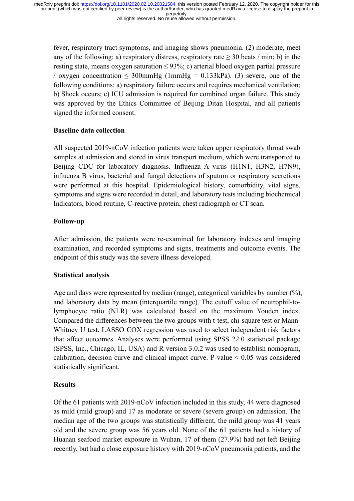All rights reserved. No reuse allowed without permission.

fever, respiratory tract symptoms, and imaging shows pneumonia. (2) moderate, meet any of the following: a) respiratory distress, respiratory rate  $> 30$  beats / min; b) in the resting state, means oxygen saturation  $\leq 93\%$ ; c) arterial blood oxygen partial pressure / oxygen concentration  $\leq 300$ mmHg (1mmHg = 0.133kPa). (3) severe, one of the following conditions: a) respiratory failure occurs and requires mechanical ventilation; b) Shock occurs; c) ICU admission is required for combined organ failure. This study was approved by the Ethics Committee of Beijing Ditan Hospital, and all patients signed the informed consent.

## **Baseline data collection**

All suspected 2019-nCoV infection patients were taken upper respiratory throat swab samples at admission and stored in virus transport medium, which were transported to Beijing CDC for laboratory diagnosis. Influenza A virus (H1N1, H3N2, H7N9), influenza B virus, bacterial and fungal detections of sputum or respiratory secretions were performed at this hospital. Epidemiological history, comorbidity, vital signs, symptoms and signs were recorded in detail, and laboratory tests including biochemical Indicators, blood routine, C-reactive protein, chest radiograph or CT scan.

## **Follow-up**

After admission, the patients were re-examined for laboratory indexes and imaging examination, and recorded symptoms and signs, treatments and outcome events. The endpoint of this study was the severe illness developed.

### **Statistical analysis**

Age and days were represented by median (range), categorical variables by number  $(\%)$ , and laboratory data by mean (interquartile range). The cutoff value of neutrophil-tolymphocyte ratio (NLR) was calculated based on the maximum Youden index. Compared the differences between the two groups with t-test, chi-square test or Mann-Whitney U test. LASSO COX regression was used to select independent risk factors that affect outcomes. Analyses were performed using SPSS 22.0 statistical package (SPSS, Inc., Chicago, IL, USA) and R version 3.0.2 was used to establish nomogram, calibration, decision curve and clinical impact curve. P-value  $< 0.05$  was considered statistically significant.

## **Results**

Of the 61 patients with 2019-nCoV infection included in this study, 44 were diagnosed as mild (mild group) and 17 as moderate or severe (severe group) on admission. The median age of the two groups was statistically different, the mild group was 41 years old and the severe group was 56 years old. None of the 61 patients had a history of Huanan seafood market exposure in Wuhan, 17 of them (27.9%) had not left Beijing recently, but had a close exposure history with 2019-nCoV pneumonia patients, and the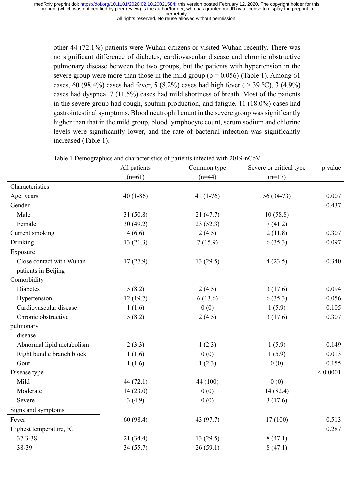All rights reserved. No reuse allowed without permission.

other 44 (72.1%) patients were Wuhan citizens or visited Wuhan recently. There was no significant difference of diabetes, cardiovascular disease and chronic obstructive pulmonary disease between the two groups, but the patients with hypertension in the severe group were more than those in the mild group ( $p = 0.056$ ) (Table 1). Among 61 cases, 60 (98.4%) cases had fever, 5 (8.2%) cases had high fever ( > 39 °C), 3 (4.9%) cases had dyspnea. 7 (11.5%) cases had mild shortness of breath. Most of the patients in the severe group had cough, sputum production, and fatigue. 11 (18.0%) cases had gastrointestinal symptoms. Blood neutrophil count in the severe group was significantly higher than that in the mild group, blood lymphocyte count, serum sodium and chlorine levels were significantly lower, and the rate of bacterial infection was significantly increased (Table 1).

|                           | All patients | Common type | Severe or critical type | p value  |
|---------------------------|--------------|-------------|-------------------------|----------|
|                           | $(n=61)$     | $(n=44)$    | $(n=17)$                |          |
| Characteristics           |              |             |                         |          |
| Age, years                | $40(1-86)$   | 41 $(1-76)$ | 56 (34-73)              | 0.007    |
| Gender                    |              |             |                         | 0.437    |
| Male                      | 31(50.8)     | 21(47.7)    | 10(58.8)                |          |
| Female                    | 30(49.2)     | 23(52.3)    | 7(41.2)                 |          |
| Current smoking           | 4(6.6)       | 2(4.5)      | 2(11.8)                 | 0.307    |
| Drinking                  | 13(21.3)     | 7(15.9)     | 6(35.3)                 | 0.097    |
| Exposure                  |              |             |                         |          |
| Close contact with Wuhan  | 17(27.9)     | 13(29.5)    | 4(23.5)                 | 0.340    |
| patients in Beijing       |              |             |                         |          |
| Comorbidity               |              |             |                         |          |
| Diabetes                  | 5(8.2)       | 2(4.5)      | 3(17.6)                 | 0.094    |
| Hypertension              | 12(19.7)     | 6(13.6)     | 6(35.3)                 | 0.056    |
| Cardiovascular disease    | 1(1.6)       | 0(0)        | 1(5.9)                  | 0.105    |
| Chronic obstructive       | 5(8.2)       | 2(4.5)      | 3(17.6)                 | 0.307    |
| pulmonary                 |              |             |                         |          |
| disease                   |              |             |                         |          |
| Abnormal lipid metabolism | 2(3.3)       | 1(2.3)      | 1(5.9)                  | 0.149    |
| Right bundle branch block | 1(1.6)       | 0(0)        | 1(5.9)                  | 0.013    |
| Gout                      | 1(1.6)       | 1(2.3)      | 0(0)                    | 0.155    |
| Disease type              |              |             |                         | < 0.0001 |
| Mild                      | 44 (72.1)    | 44 (100)    | 0(0)                    |          |
| Moderate                  | 14(23.0)     | 0(0)        | 14 (82.4)               |          |
| Severe                    | 3(4.9)       | 0(0)        | 3(17.6)                 |          |
| Signs and symptoms        |              |             |                         |          |
| Fever                     | 60(98.4)     | 43 (97.7)   | 17(100)                 | 0.513    |
| Highest temperature, °C   |              |             |                         | 0.287    |
| 37.3-38                   | 21(34.4)     | 13(29.5)    | 8(47.1)                 |          |
| 38-39                     | 34(55.7)     | 26(59.1)    | 8(47.1)                 |          |

Table 1 Demographics and characteristics of patients infected with 2019-nCoV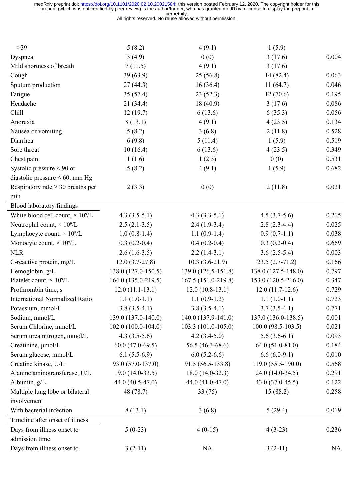All rights reserved. No reuse allowed without permission.

| $>39$                                               | 5(8.2)               | 4(9.1)                               | 1(5.9)                 |           |
|-----------------------------------------------------|----------------------|--------------------------------------|------------------------|-----------|
| Dyspnea                                             | 3(4.9)               | 0(0)                                 | 3(17.6)                | 0.004     |
| Mild shortness of breath                            | 7(11.5)              | 4(9.1)                               | 3(17.6)                |           |
| Cough                                               | 39(63.9)             | 25(56.8)                             | 14 (82.4)              | 0.063     |
| Sputum production                                   | 27(44.3)             | 16(36.4)                             | 11(64.7)               | 0.046     |
| Fatigue                                             | 35(57.4)             | 23(52.3)                             | 12(70.6)               | 0.195     |
| Headache                                            | 21(34.4)             | 18(40.9)                             | 3(17.6)                | 0.086     |
| Chill                                               | 12(19.7)             | 6(13.6)                              | 6(35.3)                | 0.056     |
| Anorexia                                            | 8(13.1)              | 4(9.1)                               | 4(23.5)                | 0.134     |
| Nausea or vomiting                                  | 5(8.2)               | 3(6.8)                               | 2(11.8)                | 0.528     |
| Diarrhea                                            | 6(9.8)               | 5(11.4)                              | 1(5.9)                 | 0.519     |
| Sore throat                                         | 10(16.4)             | 6(13.6)                              | 4(23.5)                | 0.349     |
| Chest pain                                          | 1(1.6)               | 1(2.3)                               | 0(0)                   | 0.531     |
| Systolic pressure $< 90$ or                         | 5(8.2)               | 4(9.1)                               | 1(5.9)                 | 0.682     |
| diastolic pressure $\leq 60$ , mm Hg                |                      |                                      |                        |           |
| Respiratory rate $>$ 30 breaths per                 | 2(3.3)               | 0(0)                                 | 2(11.8)                | 0.021     |
| min                                                 |                      |                                      |                        |           |
| Blood laboratory findings                           |                      |                                      |                        |           |
| White blood cell count, $\times$ 10 <sup>9</sup> /L | $4.3(3.5-5.1)$       | $4.3(3.3-5.1)$                       | $4.5(3.7-5.6)$         | 0.215     |
| Neutrophil count, $\times$ 10 <sup>9</sup> /L       | $2.5(2.1-3.5)$       | $2.4(1.9-3.4)$                       | $2.8(2.3-4.4)$         | 0.025     |
| Lymphocyte count, $\times$ 10 <sup>9</sup> /L       | $1.0(0.8-1.4)$       | $1.1(0.9-1.4)$                       | $0.9(0.7-1.1)$         | 0.038     |
| Monocyte count, $\times$ 10 <sup>9</sup> /L         | $0.3(0.2-0.4)$       | $0.4(0.2-0.4)$                       | $0.3(0.2-0.4)$         | 0.669     |
| <b>NLR</b>                                          | $2.6(1.6-3.5)$       | $2.2(1.4-3.1)$                       | $3.6(2.5-5.4)$         | 0.003     |
| C-reactive protein, mg/L                            | $12.0(3.7-27.8)$     | $10.3(3.6-21.9)$                     | $23.5(2.7-71.2)$       | 0.166     |
| Hemoglobin, g/L                                     | 138.0 (127.0-150.5)  | 139.0 (126.5-151.8)                  | 138.0 (127.5-148.0)    | 0.797     |
| Platelet count, $\times$ 10 <sup>9</sup> /L         | 164.0 (135.0-219.5)  | 167.5 (151.0-219.8)                  | 153.0 (120.5-216.0)    | 0.347     |
| Prothrombin time, s                                 | $12.0(11.1-13.1)$    | $12.0(10.8-13.1)$                    | $12.0(11.7-12.6)$      | 0.729     |
| <b>International Normalized Ratio</b>               | $1.1(1.0-1.1)$       | $1.1(0.9-1.2)$                       | $1.1(1.0-1.1)$         | 0.723     |
| Potassium, mmol/L                                   | $3.8(3.5-4.1)$       | $3.8(3.5-4.1)$                       | $3.7(3.5-4.1)$         | 0.771     |
| Sodium, mmol/L                                      | 139.0 (137.0-140.0)  | 140.0 (137.9-141.0)                  | 137.0 (136.0-138.5)    | 0.001     |
| Serum Chlorine, mmol/L                              | $102.0(100.0-104.0)$ | 103.3 (101.0-105.0)                  | $100.0 (98.5 - 103.5)$ | 0.021     |
| Serum urea nitrogen, mmol/L                         | $4.3(3.5-5.6)$       | $4.2(3.4-5.0)$                       | $5.6(3.6-6.1)$         | 0.093     |
| Creatinine, µmol/L                                  | $60.0(47.0-69.5)$    | 56.5 (46.3-68.6)                     | $64.0(51.0-81.0)$      | 0.184     |
| Serum glucose, mmol/L                               | $6.1(5.5-6.9)$       | $6.0(5.2-6.6)$                       | $6.6(6.0-9.1)$         | 0.010     |
| Creatine kinase, U/L                                | 93.0 (57.0-137.0)    | 91.5 (56.5-133.8)                    | 119.0 (55.5-190.0)     | 0.568     |
| Alanine aminotransferase, U/L                       | $19.0(14.0-33.5)$    | $18.0(14.0-32.3)$                    | 24.0 (14.0-34.5)       | 0.291     |
| Albumin, g/L                                        | 44.0 (40.5-47.0)     | 44.0 (41.0-47.0)<br>43.0 (37.0-45.5) |                        | 0.122     |
| Multiple lung lobe or bilateral                     | 48 (78.7)            | 33(75)                               | 15(88.2)               | 0.258     |
| involvement                                         |                      |                                      |                        |           |
| With bacterial infection                            | 8(13.1)              | 3(6.8)                               | 5(29.4)                | 0.019     |
| Timeline after onset of illness                     |                      |                                      |                        |           |
| Days from illness onset to                          | $5(0-23)$            | $4(0-15)$                            | $4(3-23)$              | 0.236     |
| admission time                                      |                      |                                      |                        |           |
| Days from illness onset to                          | $3(2-11)$            | <b>NA</b>                            | $3(2-11)$              | <b>NA</b> |
|                                                     |                      |                                      |                        |           |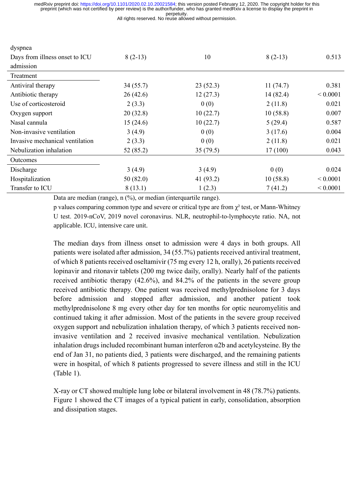All rights reserved. No reuse allowed without permission.

| dyspnea                         |                      |           |           |              |
|---------------------------------|----------------------|-----------|-----------|--------------|
| Days from illness onset to ICU  | $8(2-13)$            | 10        | $8(2-13)$ | 0.513        |
| admission                       |                      |           |           |              |
| Treatment                       |                      |           |           |              |
| Antiviral therapy               | 34(55.7)<br>23(52.3) |           | 11(74.7)  | 0.381        |
| Antibiotic therapy              | 26(42.6)             | 12(27.3)  | 14(82.4)  | ${}< 0.0001$ |
| Use of corticosteroid           | 2(3.3)               | 0(0)      | 2(11.8)   | 0.021        |
| Oxygen support                  | 20(32.8)             | 10(22.7)  | 10(58.8)  | 0.007        |
| Nasal cannula                   | 15(24.6)             | 10(22.7)  | 5(29.4)   | 0.587        |
| Non-invasive ventilation        | 3(4.9)               | 0(0)      | 3(17.6)   | 0.004        |
| Invasive mechanical ventilation | 2(3.3)               | 0(0)      | 2(11.8)   | 0.021        |
| Nebulization inhalation         | 52 (85.2)            | 35(79.5)  | 17(100)   | 0.043        |
| Outcomes                        |                      |           |           |              |
| Discharge                       | 3(4.9)               | 3(4.9)    | 0(0)      | 0.024        |
| Hospitalization                 | 50(82.0)             | 41 (93.2) | 10(58.8)  | ${}< 0.0001$ |
| Transfer to ICU                 | 8(13.1)              | 1(2.3)    | 7(41.2)   | ${}< 0.0001$ |

Data are median (range), n (%), or median (interquartile range).

p values comparing common type and severe or critical type are from  $\gamma^2$  test, or Mann-Whitney U test. 2019-nCoV, 2019 novel coronavirus. NLR, neutrophil-to-lymphocyte ratio. NA, not applicable. ICU, intensive care unit.

The median days from illness onset to admission were 4 days in both groups. All patients were isolated after admission, 34 (55.7%) patients received antiviral treatment, of which 8 patients received oseltamivir (75 mg every 12 h, orally), 26 patients received lopinavir and ritonavir tablets (200 mg twice daily, orally). Nearly half of the patients received antibiotic therapy (42.6%), and 84.2% of the patients in the severe group received antibiotic therapy. One patient was received methylprednisolone for 3 days before admission and stopped after admission, and another patient took methylprednisolone 8 mg every other day for ten months for optic neuromyelitis and continued taking it after admission. Most of the patients in the severe group received oxygen support and nebulization inhalation therapy, of which 3 patients received noninvasive ventilation and 2 received invasive mechanical ventilation. Nebulization inhalation drugs included recombinant human interferon  $\alpha$ 2b and acetylcysteine. By the end of Jan 31, no patients died, 3 patients were discharged, and the remaining patients were in hospital, of which 8 patients progressed to severe illness and still in the ICU (Table 1).

X-ray or CT showed multiple lung lobe or bilateral involvement in 48 (78.7%) patients. Figure 1 showed the CT images of a typical patient in early, consolidation, absorption and dissipation stages.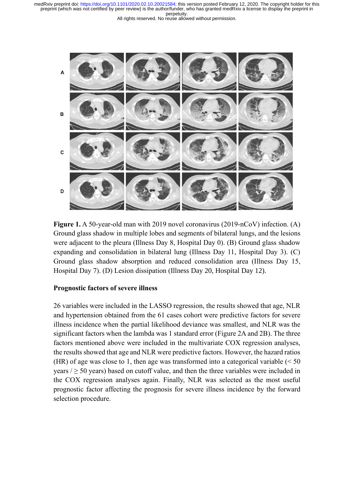



**Figure 1.** A 50-year-old man with 2019 novel coronavirus (2019-nCoV) infection. (A) Ground glass shadow in multiple lobes and segments of bilateral lungs, and the lesions were adjacent to the pleura (Illness Day 8, Hospital Day 0). (B) Ground glass shadow expanding and consolidation in bilateral lung (Illness Day 11, Hospital Day 3). (C) Ground glass shadow absorption and reduced consolidation area (Illness Day 15, Hospital Day 7). (D) Lesion dissipation (Illness Day 20, Hospital Day 12).

#### **Prognostic factors of severe illness**

26 variables were included in the LASSO regression, the results showed that age, NLR and hypertension obtained from the 61 cases cohort were predictive factors for severe illness incidence when the partial likelihood deviance was smallest, and NLR was the significant factors when the lambda was 1 standard error (Figure 2A and 2B). The three factors mentioned above were included in the multivariate COX regression analyses, the results showed that age and NLR were predictive factors. However, the hazard ratios (HR) of age was close to 1, then age was transformed into a categorical variable  $(< 50$ years  $/ \geq 50$  years) based on cutoff value, and then the three variables were included in the COX regression analyses again. Finally, NLR was selected as the most useful prognostic factor affecting the prognosis for severe illness incidence by the forward selection procedure.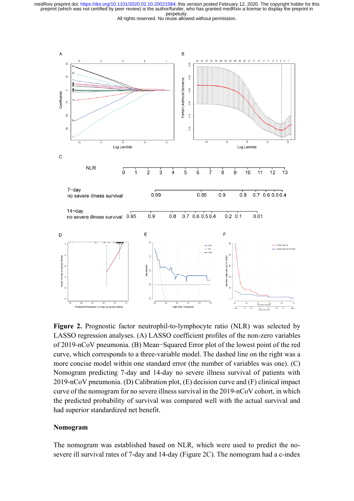All rights reserved. No reuse allowed without permission.



**Figure 2.** Prognostic factor neutrophil-to-lymphocyte ratio (NLR) was selected by LASSO regression analyses. (A) LASSO coefficient profiles of the non-zero variables of 2019-nCoV pneumonia. (B) Mean−Squared Error plot of the lowest point of the red curve, which corresponds to a three-variable model. The dashed line on the right was a more concise model within one standard error (the number of variables was one). (C) Nomogram predicting 7-day and 14-day no severe illness survival of patients with 2019-nCoV pneumonia. (D) Calibration plot, (E) decision curve and (F) clinical impact curve of the nomogram for no severe illness survival in the 2019-nCoV cohort, in which the predicted probability of survival was compared well with the actual survival and had superior standardized net benefit.

#### **Nomogram**

The nomogram was established based on NLR, which were used to predict the nosevere ill survival rates of 7-day and 14-day (Figure 2C). The nomogram had a c-index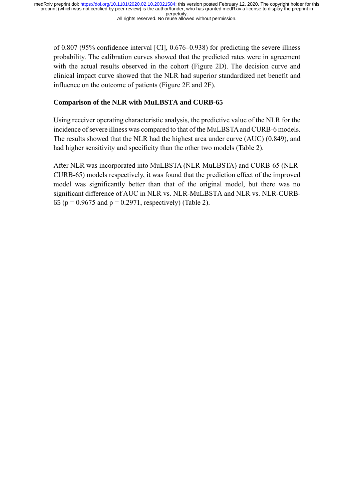of 0.807 (95% confidence interval [CI], 0.676–0.938) for predicting the severe illness probability. The calibration curves showed that the predicted rates were in agreement with the actual results observed in the cohort (Figure 2D). The decision curve and clinical impact curve showed that the NLR had superior standardized net benefit and influence on the outcome of patients (Figure 2E and 2F).

## **Comparison of the NLR with MuLBSTA and CURB-65**

Using receiver operating characteristic analysis, the predictive value of the NLR for the incidence of severe illness was compared to that of the MuLBSTA and CURB-6 models. The results showed that the NLR had the highest area under curve (AUC) (0.849), and had higher sensitivity and specificity than the other two models (Table 2).

After NLR was incorporated into MuLBSTA (NLR-MuLBSTA) and CURB-65 (NLR-CURB-65) models respectively, it was found that the prediction effect of the improved model was significantly better than that of the original model, but there was no significant difference of AUC in NLR vs. NLR-MuLBSTA and NLR vs. NLR-CURB-65 ( $p = 0.9675$  and  $p = 0.2971$ , respectively) (Table 2).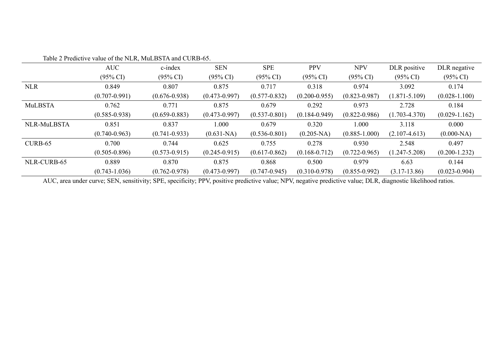|             | AUC                 | c-index             | <b>SEN</b>          | <b>SPE</b>          | <b>PPV</b>          | <b>NPV</b>          | DLR positive        | DLR negative        |
|-------------|---------------------|---------------------|---------------------|---------------------|---------------------|---------------------|---------------------|---------------------|
|             | $(95\% \text{ CI})$ | $(95\% \text{ CI})$ | $(95\% \text{ CI})$ | $(95\% \text{ CI})$ | $(95\% \text{ CI})$ | $(95\% \text{ CI})$ | $(95\% \text{ CI})$ | $(95\% \text{ CI})$ |
| <b>NLR</b>  | 0.849               | 0.807               | 0.875               | 0.717               | 0.318               | 0.974               | 3.092               | 0.174               |
|             | $(0.707 - 0.991)$   | $(0.676 - 0.938)$   | $(0.473 - 0.997)$   | $(0.577 - 0.832)$   | $(0.200 - 0.955)$   | $(0.823 - 0.987)$   | $(1.871 - 5.109)$   | $(0.028 - 1.100)$   |
| MuLBSTA     | 0.762               | 0.771               | 0.875               | 0.679               | 0.292               | 0.973               | 2.728               | 0.184               |
|             | $(0.585 - 0.938)$   | $(0.659 - 0.883)$   | $(0.473 - 0.997)$   | $(0.537 - 0.801)$   | $(0.184 - 0.949)$   | $(0.822 - 0.986)$   | $(1.703 - 4.370)$   | $(0.029 - 1.162)$   |
| NLR-MuLBSTA | 0.851               | 0.837               | 000.1               | 0.679               | 0.320               | 000.1               | 3.118               | 0.000               |
|             | $(0.740 - 0.963)$   | $(0.741 - 0.933)$   | $(0.631-NA)$        | $(0.536 - 0.801)$   | $(0.205-NA)$        | $(0.885 - 1.000)$   | $(2.107 - 4.613)$   | $(0.000-NA)$        |
| $CURB-65$   | 0.700               | 0.744               | 0.625               | 0.755               | 0.278               | 0.930               | 2.548               | 0.497               |
|             | $(0.505 - 0.896)$   | $(0.573 - 0.915)$   | $(0.245 - 0.915)$   | $(0.617 - 0.862)$   | $(0.168 - 0.712)$   | $(0.722 - 0.965)$   | $(1.247 - 5.208)$   | $(0.200 - 1.232)$   |
| NLR-CURB-65 | 0.889               | 0.870               | 0.875               | 0.868               | 0.500               | 0.979               | 6.63                | 0.144               |
|             | $(0.743 - 1.036)$   | $(0.762 - 0.978)$   | $(0.473 - 0.997)$   | $(0.747 - 0.945)$   | $(0.310 - 0.978)$   | $(0.855 - 0.992)$   | $(3.17-13.86)$      | $(0.023 - 0.904)$   |

Table 2 Predictive value of the NLR, MuLBSTA and CURB-65.

AUC, area under curve; SEN, sensitivity; SPE, specificity; PPV, positive predictive value; NPV, negative predictive value; DLR, diagnostic likelihood ratios.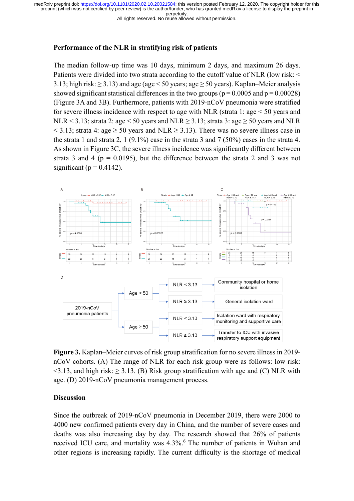All rights reserved. No reuse allowed without permission.

#### **Performance of the NLR in stratifying risk of patients**

The median follow-up time was 10 days, minimum 2 days, and maximum 26 days. Patients were divided into two strata according to the cutoff value of NLR (low risk: < 3.13; high risk:  $\geq$  3.13) and age (age < 50 years; age  $\geq$  50 years). Kaplan–Meier analysis showed significant statistical differences in the two groups ( $p = 0.0005$  and  $p = 0.00028$ ) (Figure 3A and 3B). Furthermore, patients with 2019-nCoV pneumonia were stratified for severe illness incidence with respect to age with NLR (strata 1: age < 50 years and NLR < 3.13; strata 2: age < 50 years and NLR  $\geq$  3.13; strata 3: age  $\geq$  50 years and NLR  $\leq$  3.13; strata 4: age  $\geq$  50 years and NLR  $\geq$  3.13). There was no severe illness case in the strata 1 and strata 2, 1 (9.1%) case in the strata 3 and 7 (50%) cases in the strata 4. As shown in Figure 3C, the severe illness incidence was significantly different between strata 3 and 4 ( $p = 0.0195$ ), but the difference between the strata 2 and 3 was not significant ( $p = 0.4142$ ).



**Figure 3.** Kaplan–Meier curves of risk group stratification for no severe illness in 2019 nCoV cohorts. (A) The range of NLR for each risk group were as follows: low risk:  $\leq$ 3.13, and high risk:  $\geq$  3.13. (B) Risk group stratification with age and (C) NLR with age. (D) 2019-nCoV pneumonia management process.

### **Discussion**

Since the outbreak of 2019-nCoV pneumonia in December 2019, there were 2000 to 4000 new confirmed patients every day in China, and the number of severe cases and deaths was also increasing day by day. The research showed that 26% of patients received ICU care, and mortality was 4.3%. <sup>6</sup> The number of patients in Wuhan and other regions is increasing rapidly. The current difficulty is the shortage of medical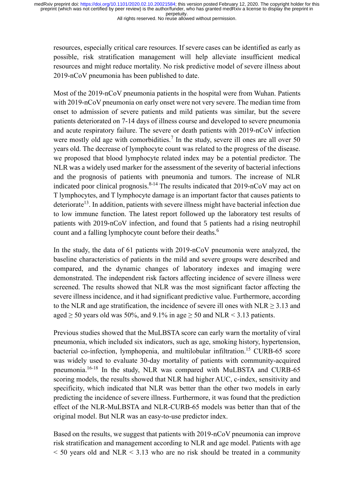All rights reserved. No reuse allowed without permission.

resources, especially critical care resources. If severe cases can be identified as early as possible, risk stratification management will help alleviate insufficient medical resources and might reduce mortality. No risk predictive model of severe illness about 2019-nCoV pneumonia has been published to date.

Most of the 2019-nCoV pneumonia patients in the hospital were from Wuhan. Patients with 2019-nCoV pneumonia on early onset were not very severe. The median time from onset to admission of severe patients and mild patients was similar, but the severe patients deteriorated on 7-14 days of illness course and developed to severe pneumonia and acute respiratory failure. The severe or death patients with 2019-nCoV infection were mostly old age with comorbidities.<sup>7</sup> In the study, severe ill ones are all over 50 years old. The decrease of lymphocyte count was related to the progress of the disease. we proposed that blood lymphocyte related index may be a potential predictor. The NLR was a widely used marker for the assessment of the severity of bacterial infections and the prognosis of patients with pneumonia and tumors. The increase of NLR indicated poor clinical prognosis.<sup>8-14</sup> The results indicated that  $2019$ -nCoV may act on T lymphocytes, and T lymphocyte damage is an important factor that causes patients to deteriorate<sup>13</sup>. In addition, patients with severe illness might have bacterial infection due to low immune function. The latest report followed up the laboratory test results of patients with 2019-nCoV infection, and found that 5 patients had a rising neutrophil count and a falling lymphocyte count before their deaths.<sup>6</sup>

In the study, the data of 61 patients with 2019-nCoV pneumonia were analyzed, the baseline characteristics of patients in the mild and severe groups were described and compared, and the dynamic changes of laboratory indexes and imaging were demonstrated. The independent risk factors affecting incidence of severe illness were screened. The results showed that NLR was the most significant factor affecting the severe illness incidence, and it had significant predictive value. Furthermore, according to the NLR and age stratification, the incidence of severe ill ones with NLR  $\geq$  3.13 and aged  $\geq$  50 years old was 50%, and 9.1% in age  $\geq$  50 and NLR < 3.13 patients.

Previous studies showed that the MuLBSTA score can early warn the mortality of viral pneumonia, which included six indicators, such as age, smoking history, hypertension, bacterial co-infection, lymphopenia, and multilobular infiltration. <sup>15</sup> CURB-65 score was widely used to evaluate 30-day mortality of patients with community-acquired pneumonia.<sup>16-18</sup> In the study, NLR was compared with MuLBSTA and CURB-65 scoring models, the results showed that NLR had higher AUC, c-index, sensitivity and specificity, which indicated that NLR was better than the other two models in early predicting the incidence of severe illness. Furthermore, it was found that the prediction effect of the NLR-MuLBSTA and NLR-CURB-65 models was better than that of the original model. But NLR was an easy-to-use predictor index.

Based on the results, we suggest that patients with 2019-nCoV pneumonia can improve risk stratification and management according to NLR and age model. Patients with age  $\leq$  50 years old and NLR  $\leq$  3.13 who are no risk should be treated in a community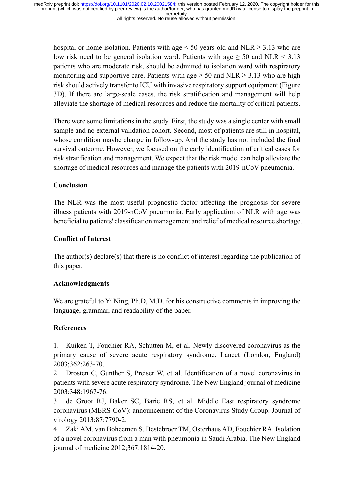All rights reserved. No reuse allowed without permission.

hospital or home isolation. Patients with age  $< 50$  years old and NLR  $\geq 3.13$  who are low risk need to be general isolation ward. Patients with age  $> 50$  and NLR  $< 3.13$ patients who are moderate risk, should be admitted to isolation ward with respiratory monitoring and supportive care. Patients with age  $\geq 50$  and NLR  $\geq 3.13$  who are high risk should actively transfer to ICU with invasive respiratory support equipment (Figure 3D). If there are large-scale cases, the risk stratification and management will help alleviate the shortage of medical resources and reduce the mortality of critical patients.

There were some limitations in the study. First, the study was a single center with small sample and no external validation cohort. Second, most of patients are still in hospital, whose condition maybe change in follow-up. And the study has not included the final survival outcome. However, we focused on the early identification of critical cases for risk stratification and management. We expect that the risk model can help alleviate the shortage of medical resources and manage the patients with 2019-nCoV pneumonia.

## **Conclusion**

The NLR was the most useful prognostic factor affecting the prognosis for severe illness patients with 2019-nCoV pneumonia. Early application of NLR with age was beneficial to patients' classification management and relief of medical resource shortage.

## **Conflict of Interest**

The author(s) declare(s) that there is no conflict of interest regarding the publication of this paper.

### **Acknowledgments**

We are grateful to Yi Ning, Ph.D, M.D. for his constructive comments in improving the language, grammar, and readability of the paper.

## **References**

1. Kuiken T, Fouchier RA, Schutten M, et al. Newly discovered coronavirus as the primary cause of severe acute respiratory syndrome. Lancet (London, England) 2003;362:263-70.

2. Drosten C, Gunther S, Preiser W, et al. Identification of a novel coronavirus in patients with severe acute respiratory syndrome. The New England journal of medicine 2003;348:1967-76.

3. de Groot RJ, Baker SC, Baric RS, et al. Middle East respiratory syndrome coronavirus (MERS-CoV): announcement of the Coronavirus Study Group. Journal of virology 2013;87:7790-2.

4. Zaki AM, van Boheemen S, Bestebroer TM, Osterhaus AD, Fouchier RA. Isolation of a novel coronavirus from a man with pneumonia in Saudi Arabia. The New England journal of medicine 2012;367:1814-20.